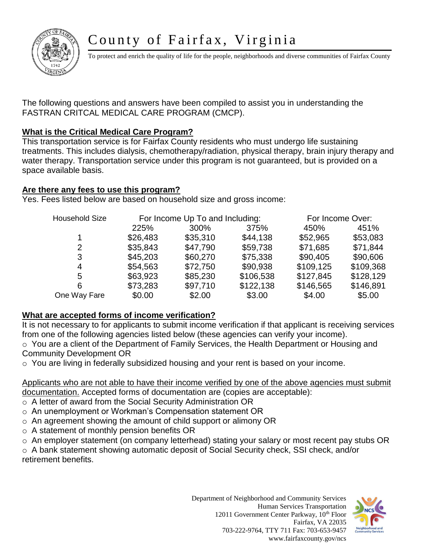# County of Fairfax, Virginia



To protect and enrich the quality of life for the people, neighborhoods and diverse communities of Fairfax County

The following questions and answers have been compiled to assist you in understanding the FASTRAN CRITCAL MEDICAL CARE PROGRAM (CMCP).

## **What is the Critical Medical Care Program?**

This transportation service is for Fairfax County residents who must undergo life sustaining treatments. This includes dialysis, chemotherapy/radiation, physical therapy, brain injury therapy and water therapy. Transportation service under this program is not guaranteed, but is provided on a space available basis.

## **Are there any fees to use this program?**

Yes. Fees listed below are based on household size and gross income:

| <b>Household Size</b> |          | For Income Up To and Including: | For Income Over: |           |           |
|-----------------------|----------|---------------------------------|------------------|-----------|-----------|
|                       | 225%     | 300%                            | 375%             | 450%      | 451%      |
| 1                     | \$26,483 | \$35,310                        | \$44,138         | \$52,965  | \$53,083  |
| 2                     | \$35,843 | \$47,790                        | \$59,738         | \$71,685  | \$71,844  |
| 3                     | \$45,203 | \$60,270                        | \$75,338         | \$90,405  | \$90,606  |
| 4                     | \$54,563 | \$72,750                        | \$90,938         | \$109,125 | \$109,368 |
| 5                     | \$63,923 | \$85,230                        | \$106,538        | \$127,845 | \$128,129 |
| 6                     | \$73,283 | \$97,710                        | \$122,138        | \$146,565 | \$146,891 |
| One Way Fare          | \$0.00   | \$2.00                          | \$3.00           | \$4.00    | \$5.00    |

## **What are accepted forms of income verification?**

It is not necessary to for applicants to submit income verification if that applicant is receiving services from one of the following agencies listed below (these agencies can verify your income).

o You are a client of the Department of Family Services, the Health Department or Housing and Community Development OR

o You are living in federally subsidized housing and your rent is based on your income.

Applicants who are not able to have their income verified by one of the above agencies must submit documentation. Accepted forms of documentation are (copies are acceptable):

- o A letter of award from the Social Security Administration OR
- o An unemployment or Workman's Compensation statement OR
- o An agreement showing the amount of child support or alimony OR
- o A statement of monthly pension benefits OR
- o An employer statement (on company letterhead) stating your salary or most recent pay stubs OR

o A bank statement showing automatic deposit of Social Security check, SSI check, and/or retirement benefits.

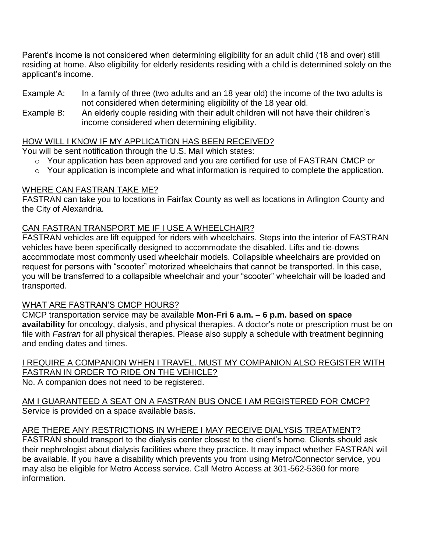Parent's income is not considered when determining eligibility for an adult child (18 and over) still residing at home. Also eligibility for elderly residents residing with a child is determined solely on the applicant's income.

- Example A: In a family of three (two adults and an 18 year old) the income of the two adults is not considered when determining eligibility of the 18 year old.
- Example B: An elderly couple residing with their adult children will not have their children's income considered when determining eligibility.

## HOW WILL I KNOW IF MY APPLICATION HAS BEEN RECEIVED?

You will be sent notification through the U.S. Mail which states:

- o Your application has been approved and you are certified for use of FASTRAN CMCP or
- o Your application is incomplete and what information is required to complete the application.

#### WHERE CAN FASTRAN TAKE ME?

FASTRAN can take you to locations in Fairfax County as well as locations in Arlington County and the City of Alexandria.

#### CAN FASTRAN TRANSPORT ME IF I USE A WHEELCHAIR?

FASTRAN vehicles are lift equipped for riders with wheelchairs. Steps into the interior of FASTRAN vehicles have been specifically designed to accommodate the disabled. Lifts and tie-downs accommodate most commonly used wheelchair models. Collapsible wheelchairs are provided on request for persons with "scooter" motorized wheelchairs that cannot be transported. In this case, you will be transferred to a collapsible wheelchair and your "scooter" wheelchair will be loaded and transported.

#### WHAT ARE FASTRAN'S CMCP HOURS?

CMCP transportation service may be available **Mon-Fri 6 a.m. – 6 p.m. based on space availability** for oncology, dialysis, and physical therapies. A doctor's note or prescription must be on file with *Fastran* for all physical therapies. Please also supply a schedule with treatment beginning and ending dates and times.

I REQUIRE A COMPANION WHEN I TRAVEL. MUST MY COMPANION ALSO REGISTER WITH FASTRAN IN ORDER TO RIDE ON THE VEHICLE? No. A companion does not need to be registered.

AM I GUARANTEED A SEAT ON A FASTRAN BUS ONCE I AM REGISTERED FOR CMCP? Service is provided on a space available basis.

## ARE THERE ANY RESTRICTIONS IN WHERE I MAY RECEIVE DIALYSIS TREATMENT?

FASTRAN should transport to the dialysis center closest to the client's home. Clients should ask their nephrologist about dialysis facilities where they practice. It may impact whether FASTRAN will be available. If you have a disability which prevents you from using Metro/Connector service, you may also be eligible for Metro Access service. Call Metro Access at 301-562-5360 for more information.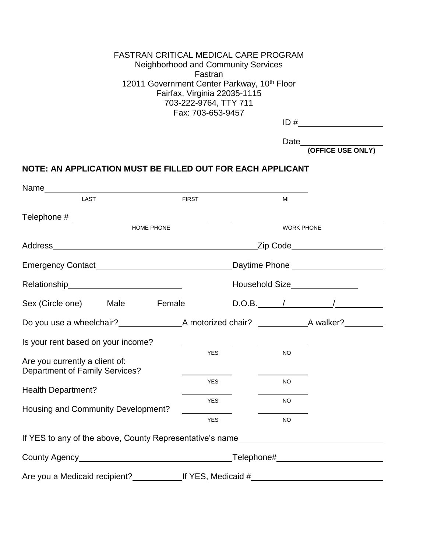#### FASTRAN CRITICAL MEDICAL CARE PROGRAM Neighborhood and Community Services Fastran 12011 Government Center Parkway, 10<sup>th</sup> Floor Fairfax, Virginia 22035-1115 703-222-9764, TTY 711 Fax: 703-653-9457

Date\_

**(OFFICE USE ONLY)**

#### **NOTE: AN APPLICATION MUST BE FILLED OUT FOR EACH APPLICANT**

| Name stational state of the state of the state of the state of the state of the state of the state of the state of the state of the state of the state of the state of the state of the state of the state of the state of the |  |                                                                                                                                                                                                                                |                                 |     |           |                |  |
|--------------------------------------------------------------------------------------------------------------------------------------------------------------------------------------------------------------------------------|--|--------------------------------------------------------------------------------------------------------------------------------------------------------------------------------------------------------------------------------|---------------------------------|-----|-----------|----------------|--|
| <b>LAST</b>                                                                                                                                                                                                                    |  | <b>FIRST</b>                                                                                                                                                                                                                   |                                 | MI  |           |                |  |
|                                                                                                                                                                                                                                |  |                                                                                                                                                                                                                                |                                 |     |           |                |  |
| HOME PHONE                                                                                                                                                                                                                     |  |                                                                                                                                                                                                                                | <b>WORK PHONE</b>               |     |           |                |  |
|                                                                                                                                                                                                                                |  |                                                                                                                                                                                                                                | _Zip Code______________________ |     |           |                |  |
|                                                                                                                                                                                                                                |  |                                                                                                                                                                                                                                |                                 |     |           |                |  |
| Relationship experience and the set of the set of the set of the set of the set of the set of the set of the s                                                                                                                 |  |                                                                                                                                                                                                                                |                                 |     |           |                |  |
| Sex (Circle one) Male                                                                                                                                                                                                          |  | Female                                                                                                                                                                                                                         |                                 |     |           | $D.O.B.$ / / / |  |
|                                                                                                                                                                                                                                |  |                                                                                                                                                                                                                                |                                 |     |           |                |  |
| Is your rent based on your income?                                                                                                                                                                                             |  |                                                                                                                                                                                                                                |                                 |     |           |                |  |
| Are you currently a client of:<br><b>Department of Family Services?</b>                                                                                                                                                        |  |                                                                                                                                                                                                                                | <b>YES</b>                      |     | <b>NO</b> |                |  |
| Health Department?                                                                                                                                                                                                             |  |                                                                                                                                                                                                                                | <b>YES</b>                      |     | NO.       |                |  |
| Housing and Community Development?                                                                                                                                                                                             |  | <b>YES</b>                                                                                                                                                                                                                     |                                 | NO. |           |                |  |
|                                                                                                                                                                                                                                |  |                                                                                                                                                                                                                                | <b>YES</b>                      |     | <b>NO</b> |                |  |
| If YES to any of the above, County Representative's name                                                                                                                                                                       |  |                                                                                                                                                                                                                                |                                 |     |           |                |  |
|                                                                                                                                                                                                                                |  | County Agency entrance and the country Agency county Agency entrance and the country of the country of the country of the country of the country of the country of the country of the country of the country of the country of |                                 |     |           |                |  |
|                                                                                                                                                                                                                                |  |                                                                                                                                                                                                                                |                                 |     |           |                |  |